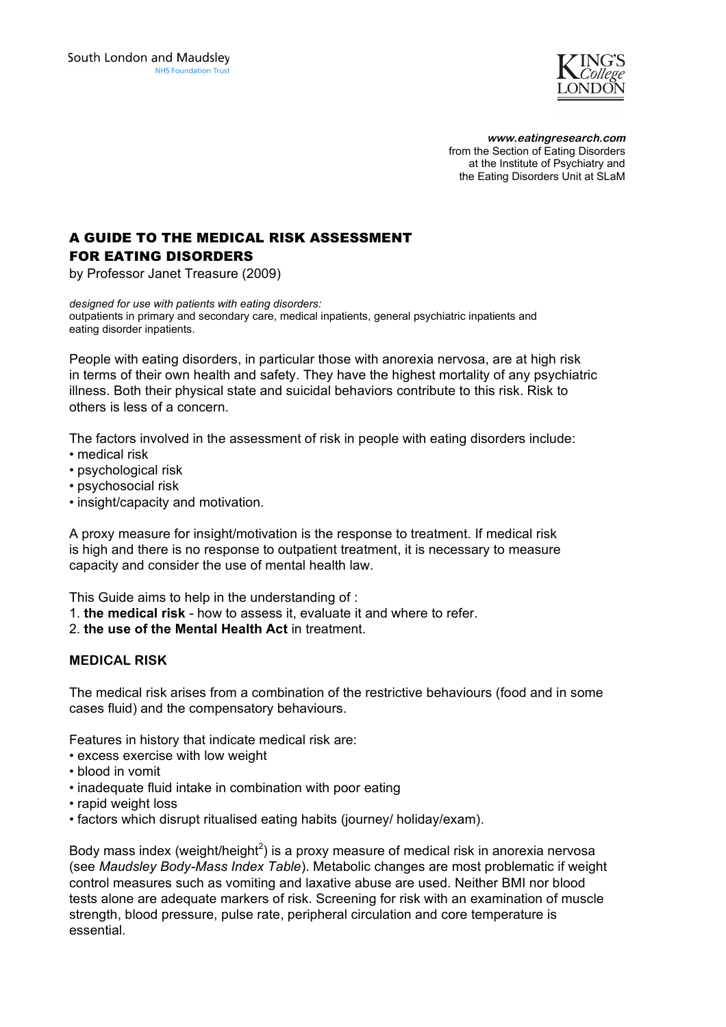

**www.eatingresearch.com** from the Section of Eating Disorders at the Institute of Psychiatry and the Eating Disorders Unit at SLaM

# A GUIDE TO THE MEDICAL RISK ASSESSMENT FOR EATING DISORDERS

by Professor Janet Treasure (2009)

*designed for use with patients with eating disorders:* outpatients in primary and secondary care, medical inpatients, general psychiatric inpatients and eating disorder inpatients.

People with eating disorders, in particular those with anorexia nervosa, are at high risk in terms of their own health and safety. They have the highest mortality of any psychiatric illness. Both their physical state and suicidal behaviors contribute to this risk. Risk to others is less of a concern.

The factors involved in the assessment of risk in people with eating disorders include:

- medical risk
- psychological risk
- psychosocial risk
- insight/capacity and motivation.

A proxy measure for insight/motivation is the response to treatment. If medical risk is high and there is no response to outpatient treatment, it is necessary to measure capacity and consider the use of mental health law.

This Guide aims to help in the understanding of :

- 1. **the medical risk** how to assess it, evaluate it and where to refer.
- 2. **the use of the Mental Health Act** in treatment.

## **MEDICAL RISK**

The medical risk arises from a combination of the restrictive behaviours (food and in some cases fluid) and the compensatory behaviours.

Features in history that indicate medical risk are:

- excess exercise with low weight
- blood in vomit
- inadequate fluid intake in combination with poor eating
- rapid weight loss
- factors which disrupt ritualised eating habits (journey/ holiday/exam).

Body mass index (weight/height<sup>2</sup>) is a proxy measure of medical risk in anorexia nervosa (see *Maudsley Body-Mass Index Table*). Metabolic changes are most problematic if weight control measures such as vomiting and laxative abuse are used. Neither BMI nor blood tests alone are adequate markers of risk. Screening for risk with an examination of muscle strength, blood pressure, pulse rate, peripheral circulation and core temperature is essential.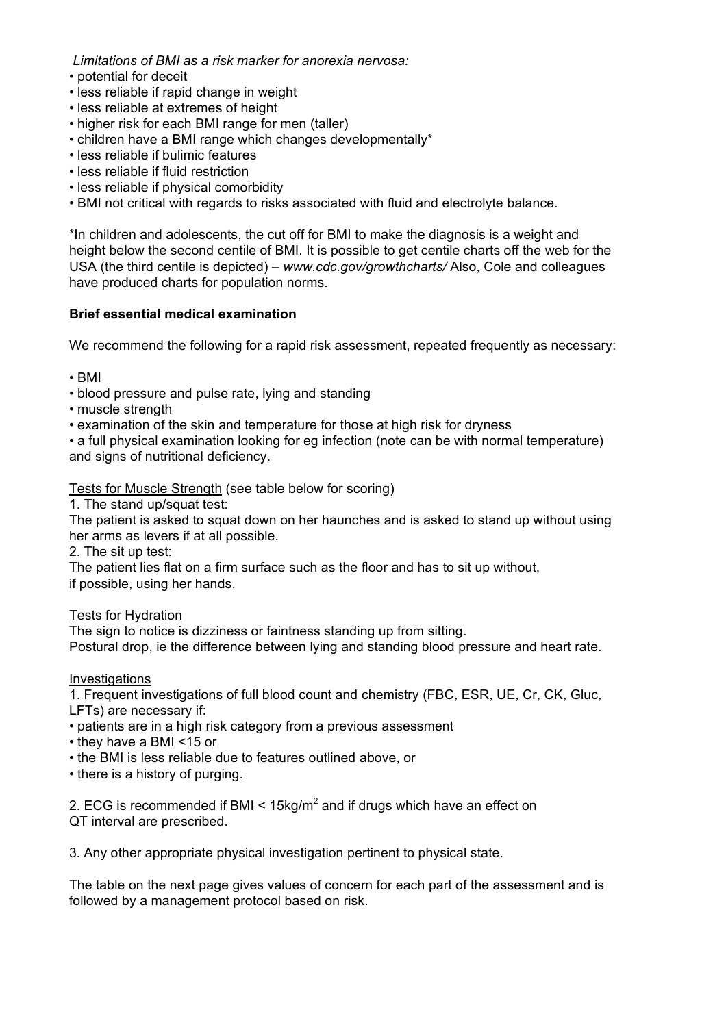*Limitations of BMI as a risk marker for anorexia nervosa:*

- potential for deceit
- less reliable if rapid change in weight
- less reliable at extremes of height
- higher risk for each BMI range for men (taller)
- children have a BMI range which changes developmentally\*
- less reliable if bulimic features
- less reliable if fluid restriction
- less reliable if physical comorbidity
- BMI not critical with regards to risks associated with fluid and electrolyte balance.

\*In children and adolescents, the cut off for BMI to make the diagnosis is a weight and height below the second centile of BMI. It is possible to get centile charts off the web for the USA (the third centile is depicted) – *www.cdc.gov/growthcharts/* Also, Cole and colleagues have produced charts for population norms.

# **Brief essential medical examination**

We recommend the following for a rapid risk assessment, repeated frequently as necessary:

• BMI

- blood pressure and pulse rate, lying and standing
- muscle strength
- examination of the skin and temperature for those at high risk for dryness

• a full physical examination looking for eg infection (note can be with normal temperature) and signs of nutritional deficiency.

Tests for Muscle Strength (see table below for scoring)

1. The stand up/squat test:

The patient is asked to squat down on her haunches and is asked to stand up without using her arms as levers if at all possible.

2. The sit up test:

The patient lies flat on a firm surface such as the floor and has to sit up without, if possible, using her hands.

Tests for Hydration

The sign to notice is dizziness or faintness standing up from sitting. Postural drop, ie the difference between lying and standing blood pressure and heart rate.

## **Investigations**

1. Frequent investigations of full blood count and chemistry (FBC, ESR, UE, Cr, CK, Gluc, LFTs) are necessary if:

- patients are in a high risk category from a previous assessment
- they have a BMI <15 or
- the BMI is less reliable due to features outlined above, or
- there is a history of purging.

2. ECG is recommended if BMI <  $15\text{kg/m}^2$  and if drugs which have an effect on QT interval are prescribed.

3. Any other appropriate physical investigation pertinent to physical state.

The table on the next page gives values of concern for each part of the assessment and is followed by a management protocol based on risk.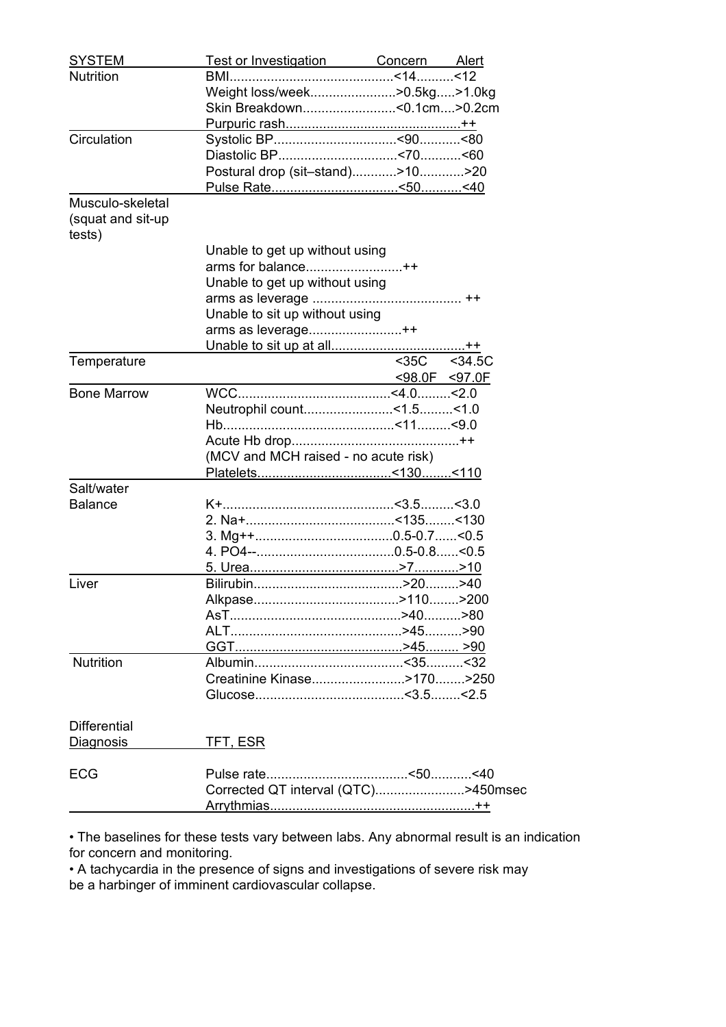| <b>SYSTEM</b>               | Test or Investigation Concern Alert  |               |           |
|-----------------------------|--------------------------------------|---------------|-----------|
| <b>Nutrition</b>            |                                      |               |           |
|                             |                                      |               |           |
|                             | Skin Breakdown<0.1cm>0.2cm           |               |           |
|                             |                                      |               |           |
| Circulation                 |                                      |               |           |
|                             |                                      |               |           |
|                             | Postural drop (sit-stand)>10>20      |               |           |
|                             |                                      |               |           |
| Musculo-skeletal            |                                      |               |           |
| (squat and sit-up<br>tests) |                                      |               |           |
|                             | Unable to get up without using       |               |           |
|                             | arms for balance++                   |               |           |
|                             | Unable to get up without using       |               |           |
|                             |                                      |               |           |
|                             | Unable to sit up without using       |               |           |
|                             | arms as leverage++                   |               |           |
|                             |                                      |               |           |
| Temperature                 |                                      | $<$ 35C       | $<$ 34.5C |
|                             |                                      | <98.0F <97.0F |           |
| <b>Bone Marrow</b>          |                                      |               |           |
|                             |                                      |               |           |
|                             |                                      |               |           |
|                             |                                      |               |           |
|                             | (MCV and MCH raised - no acute risk) |               |           |
|                             |                                      |               |           |
| Salt/water                  |                                      |               |           |
| <b>Balance</b>              |                                      |               |           |
|                             |                                      |               |           |
|                             |                                      |               |           |
|                             |                                      |               |           |
|                             |                                      |               |           |
| Liver                       |                                      |               |           |
|                             |                                      |               |           |
|                             |                                      |               |           |
|                             |                                      |               |           |
|                             |                                      |               |           |
| <b>Nutrition</b>            |                                      |               |           |
|                             | Creatinine Kinase>170>250            |               |           |
|                             |                                      |               |           |
| <b>Differential</b>         |                                      |               |           |
| Diagnosis                   | TFT <u>, ESR</u>                     |               |           |
|                             |                                      |               |           |
| <b>ECG</b>                  |                                      |               |           |
|                             | Corrected QT interval (QTC)>450msec  |               |           |
|                             |                                      |               |           |
|                             |                                      |               |           |

• The baselines for these tests vary between labs. Any abnormal result is an indication for concern and monitoring.

• A tachycardia in the presence of signs and investigations of severe risk may be a harbinger of imminent cardiovascular collapse.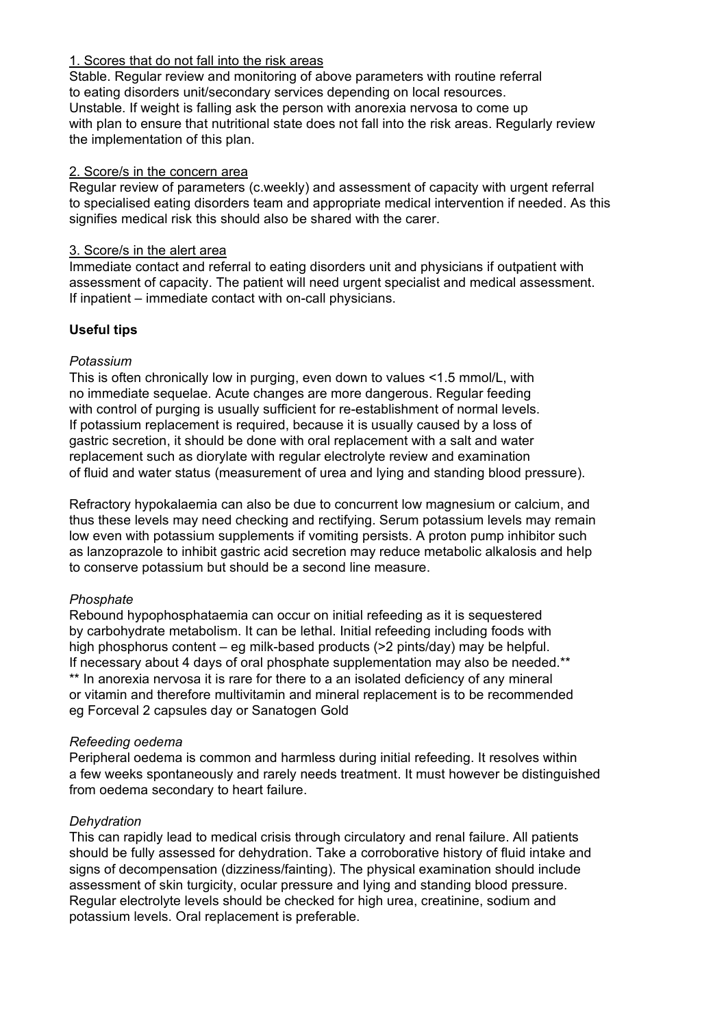## 1. Scores that do not fall into the risk areas

Stable. Regular review and monitoring of above parameters with routine referral to eating disorders unit/secondary services depending on local resources. Unstable. If weight is falling ask the person with anorexia nervosa to come up with plan to ensure that nutritional state does not fall into the risk areas. Regularly review the implementation of this plan.

### 2. Score/s in the concern area

Regular review of parameters (c.weekly) and assessment of capacity with urgent referral to specialised eating disorders team and appropriate medical intervention if needed. As this signifies medical risk this should also be shared with the carer.

# 3. Score/s in the alert area

Immediate contact and referral to eating disorders unit and physicians if outpatient with assessment of capacity. The patient will need urgent specialist and medical assessment. If inpatient – immediate contact with on-call physicians.

### **Useful tips**

### *Potassium*

This is often chronically low in purging, even down to values <1.5 mmol/L, with no immediate sequelae. Acute changes are more dangerous. Regular feeding with control of purging is usually sufficient for re-establishment of normal levels. If potassium replacement is required, because it is usually caused by a loss of gastric secretion, it should be done with oral replacement with a salt and water replacement such as diorylate with regular electrolyte review and examination of fluid and water status (measurement of urea and lying and standing blood pressure).

Refractory hypokalaemia can also be due to concurrent low magnesium or calcium, and thus these levels may need checking and rectifying. Serum potassium levels may remain low even with potassium supplements if vomiting persists. A proton pump inhibitor such as lanzoprazole to inhibit gastric acid secretion may reduce metabolic alkalosis and help to conserve potassium but should be a second line measure.

#### *Phosphate*

Rebound hypophosphataemia can occur on initial refeeding as it is sequestered by carbohydrate metabolism. It can be lethal. Initial refeeding including foods with high phosphorus content – eg milk-based products (>2 pints/day) may be helpful. If necessary about 4 days of oral phosphate supplementation may also be needed.\*\* \*\* In anorexia nervosa it is rare for there to a an isolated deficiency of any mineral or vitamin and therefore multivitamin and mineral replacement is to be recommended eg Forceval 2 capsules day or Sanatogen Gold

#### *Refeeding oedema*

Peripheral oedema is common and harmless during initial refeeding. It resolves within a few weeks spontaneously and rarely needs treatment. It must however be distinguished from oedema secondary to heart failure.

#### *Dehydration*

This can rapidly lead to medical crisis through circulatory and renal failure. All patients should be fully assessed for dehydration. Take a corroborative history of fluid intake and signs of decompensation (dizziness/fainting). The physical examination should include assessment of skin turgicity, ocular pressure and lying and standing blood pressure. Regular electrolyte levels should be checked for high urea, creatinine, sodium and potassium levels. Oral replacement is preferable.